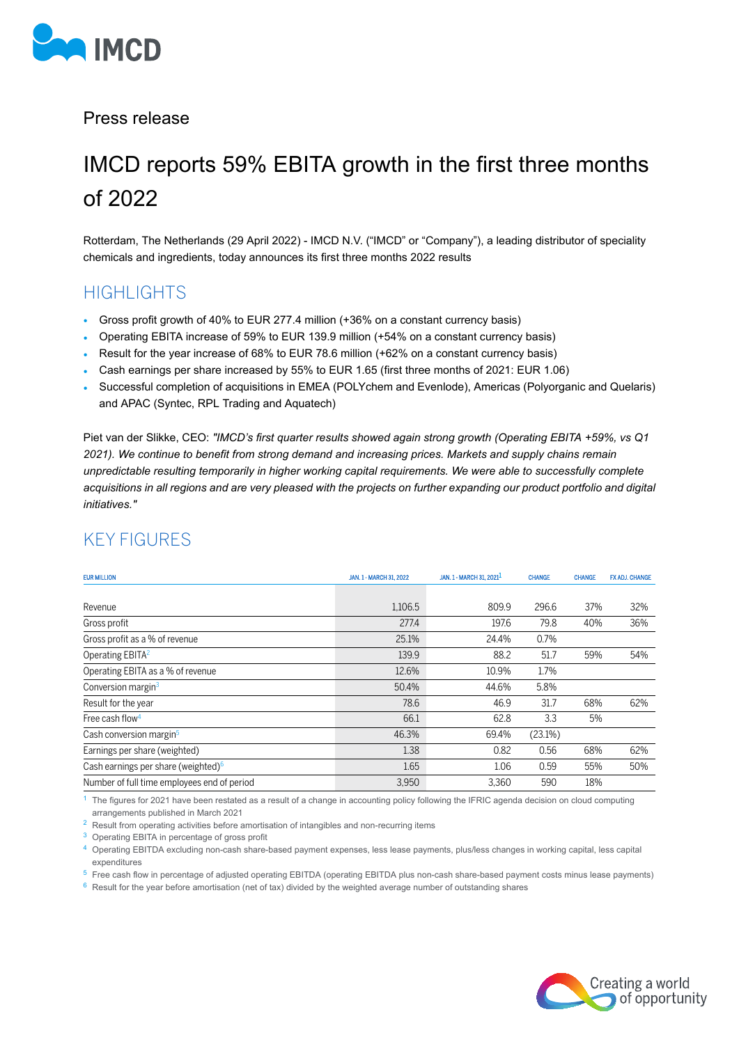

Press release

# IMCD reports 59% EBITA growth in the first three months of 2022

Rotterdam, The Netherlands (29 April 2022) - IMCD N.V. ("IMCD" or "Company"), a leading distributor of speciality chemicals and ingredients, today announces its first three months 2022 results

### HIGHTS

- Gross profit growth of 40% to EUR 277.4 million (+36% on a constant currency basis)
- Operating EBITA increase of 59% to EUR 139.9 million (+54% on a constant currency basis)
- Result for the year increase of 68% to EUR 78.6 million (+62% on a constant currency basis)
- Cash earnings per share increased by 55% to EUR 1.65 (first three months of 2021: EUR 1.06)
- Successful completion of acquisitions in EMEA (POLYchem and Evenlode), Americas (Polyorganic and Quelaris) and APAC (Syntec, RPL Trading and Aquatech)

Piet van der Slikke, CEO: *"IMCD's first quarter results showed again strong growth (Operating EBITA +59%, vs Q1 2021). We continue to benefit from strong demand and increasing prices. Markets and supply chains remain unpredictable resulting temporarily in higher working capital requirements. We were able to successfully complete acquisitions in all regions and are very pleased with the projects on further expanding our product portfolio and digital initiatives."*

| <b>EUR MILLION</b>                              | JAN. 1 - MARCH 31, 2022 | JAN. 1 - MARCH 31, 2021 <sup>1</sup> | <b>CHANGE</b> | <b>CHANGE</b> | FX ADJ, CHANGE |
|-------------------------------------------------|-------------------------|--------------------------------------|---------------|---------------|----------------|
|                                                 |                         |                                      |               |               |                |
| Revenue                                         | 1,106.5                 | 809.9                                | 296.6         | 37%           | 32%            |
| Gross profit                                    | 277.4                   | 197.6                                | 79.8          | 40%           | 36%            |
| Gross profit as a % of revenue                  | 25.1%                   | 24.4%                                | 0.7%          |               |                |
| Operating EBITA <sup>2</sup>                    | 139.9                   | 88.2                                 | 51.7          | 59%           | 54%            |
| Operating EBITA as a % of revenue               | 12.6%                   | 10.9%                                | 1.7%          |               |                |
| Conversion margin <sup>3</sup>                  | 50.4%                   | 44.6%                                | 5.8%          |               |                |
| Result for the year                             | 78.6                    | 46.9                                 | 31.7          | 68%           | 62%            |
| Free cash flow <sup>4</sup>                     | 66.1                    | 62.8                                 | 3.3           | 5%            |                |
| Cash conversion margin <sup>5</sup>             | 46.3%                   | 69.4%                                | $(23.1\%)$    |               |                |
| Earnings per share (weighted)                   | 1.38                    | 0.82                                 | 0.56          | 68%           | 62%            |
| Cash earnings per share (weighted) <sup>6</sup> | 1.65                    | 1.06                                 | 0.59          | 55%           | 50%            |
| Number of full time employees end of period     | 3,950                   | 3,360                                | 590           | 18%           |                |

### KEY FIGURES

 $<sup>1</sup>$  The figures for 2021 have been restated as a result of a change in accounting policy following the IFRIC agenda decision on cloud computing</sup> arrangements published in March 2021

<sup>2</sup> Result from operating activities before amortisation of intangibles and non-recurring items

<sup>3</sup> Operating EBITA in percentage of gross profit

<sup>4</sup> Operating EBITDA excluding non-cash share-based payment expenses, less lease payments, plus/less changes in working capital, less capital expenditures

 $5$  Free cash flow in percentage of adjusted operating EBITDA (operating EBITDA plus non-cash share-based payment costs minus lease payments)

 $6$  Result for the year before amortisation (net of tax) divided by the weighted average number of outstanding shares

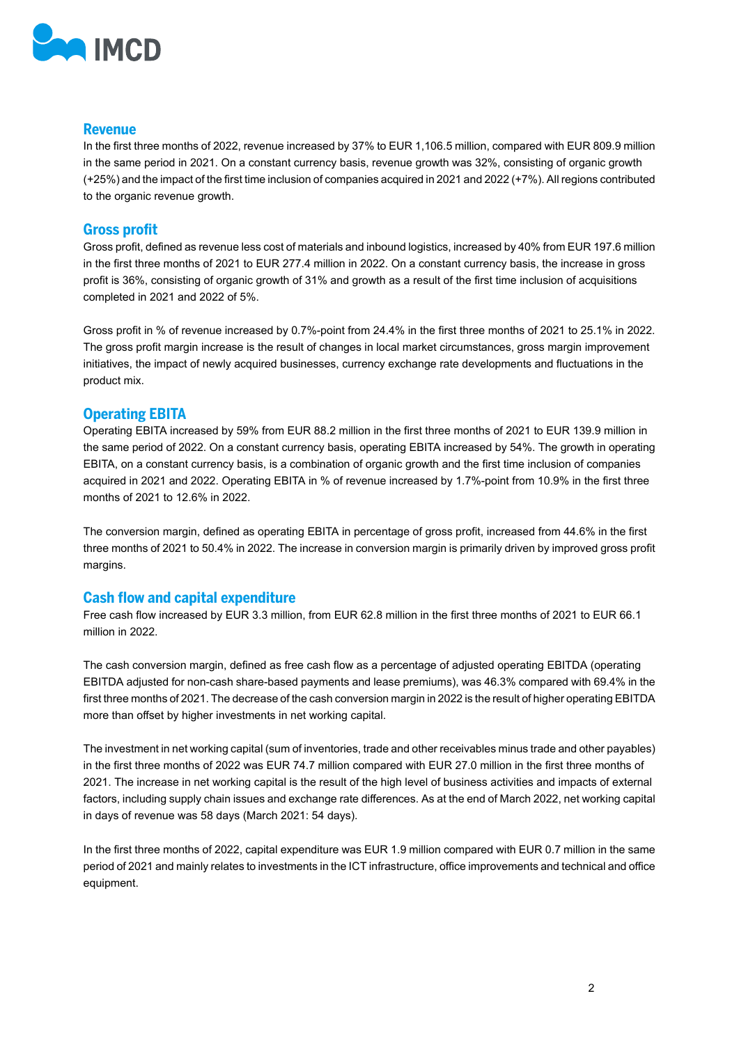

#### **Revenue**

In the first three months of 2022, revenue increased by 37% to EUR 1,106.5 million, compared with EUR 809.9 million in the same period in 2021. On a constant currency basis, revenue growth was 32%, consisting of organic growth (+25%) and the impact of the first time inclusion of companies acquired in 2021 and 2022 (+7%). All regions contributed to the organic revenue growth.

#### **Gross profit**

Gross profit, defined as revenue less cost of materials and inbound logistics, increased by 40% from EUR 197.6 million in the first three months of 2021 to EUR 277.4 million in 2022. On a constant currency basis, the increase in gross profit is 36%, consisting of organic growth of 31% and growth as a result of the first time inclusion of acquisitions completed in 2021 and 2022 of 5%.

Gross profit in % of revenue increased by 0.7%-point from 24.4% in the first three months of 2021 to 25.1% in 2022. The gross profit margin increase is the result of changes in local market circumstances, gross margin improvement initiatives, the impact of newly acquired businesses, currency exchange rate developments and fluctuations in the product mix.

#### **Operating EBITA**

Operating EBITA increased by 59% from EUR 88.2 million in the first three months of 2021 to EUR 139.9 million in the same period of 2022. On a constant currency basis, operating EBITA increased by 54%. The growth in operating EBITA, on a constant currency basis, is a combination of organic growth and the first time inclusion of companies acquired in 2021 and 2022. Operating EBITA in % of revenue increased by 1.7%-point from 10.9% in the first three months of 2021 to 12.6% in 2022.

The conversion margin, defined as operating EBITA in percentage of gross profit, increased from 44.6% in the first three months of 2021 to 50.4% in 2022. The increase in conversion margin is primarily driven by improved gross profit margins.

#### **Cash flow and capital expenditure**

Free cash flow increased by EUR 3.3 million, from EUR 62.8 million in the first three months of 2021 to EUR 66.1 million in 2022.

The cash conversion margin, defined as free cash flow as a percentage of adjusted operating EBITDA (operating EBITDA adjusted for non-cash share-based payments and lease premiums), was 46.3% compared with 69.4% in the first three months of 2021. The decrease of the cash conversion margin in 2022 is the result of higher operating EBITDA more than offset by higher investments in net working capital.

The investment in net working capital (sum of inventories, trade and other receivables minus trade and other payables) in the first three months of 2022 was EUR 74.7 million compared with EUR 27.0 million in the first three months of 2021. The increase in net working capital is the result of the high level of business activities and impacts of external factors, including supply chain issues and exchange rate differences. As at the end of March 2022, net working capital in days of revenue was 58 days (March 2021: 54 days).

In the first three months of 2022, capital expenditure was EUR 1.9 million compared with EUR 0.7 million in the same period of 2021 and mainly relates to investments in the ICT infrastructure, office improvements and technical and office equipment.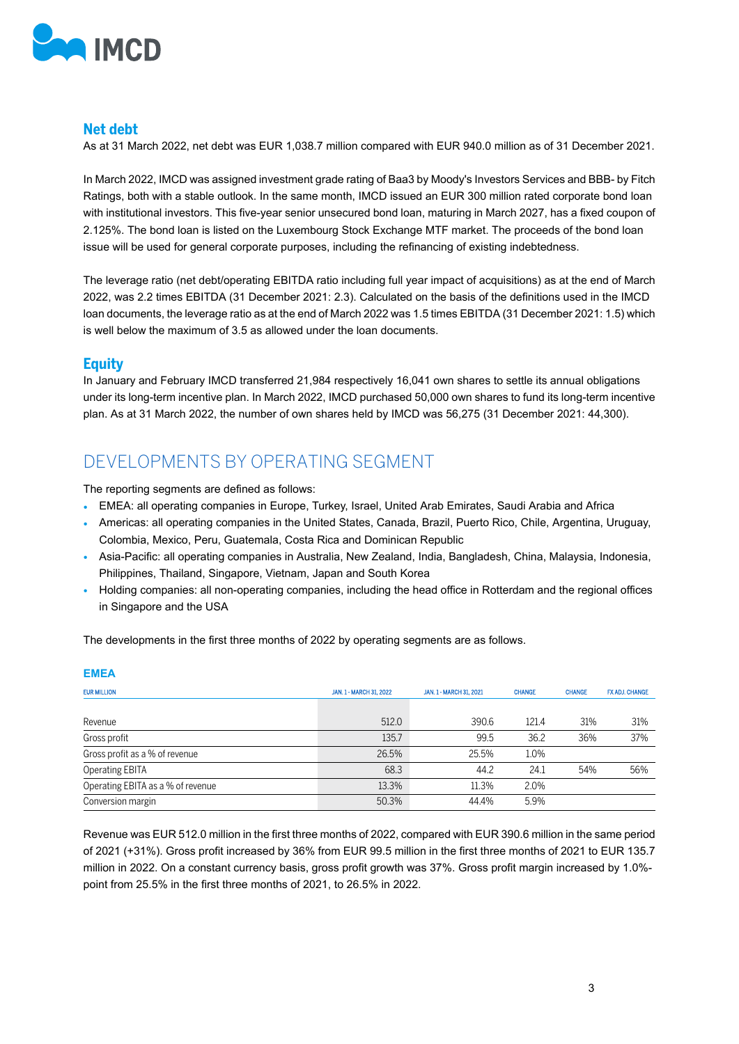

#### **Net debt**

As at 31 March 2022, net debt was EUR 1,038.7 million compared with EUR 940.0 million as of 31 December 2021.

In March 2022, IMCD was assigned investment grade rating of Baa3 by Moody's Investors Services and BBB- by Fitch Ratings, both with a stable outlook. In the same month, IMCD issued an EUR 300 million rated corporate bond loan with institutional investors. This five-year senior unsecured bond loan, maturing in March 2027, has a fixed coupon of 2.125%. The bond loan is listed on the Luxembourg Stock Exchange MTF market. The proceeds of the bond loan issue will be used for general corporate purposes, including the refinancing of existing indebtedness.

The leverage ratio (net debt/operating EBITDA ratio including full year impact of acquisitions) as at the end of March 2022, was 2.2 times EBITDA (31 December 2021: 2.3). Calculated on the basis of the definitions used in the IMCD loan documents, the leverage ratio as at the end of March 2022 was 1.5 times EBITDA (31 December 2021: 1.5) which is well below the maximum of 3.5 as allowed under the loan documents.

### **Equity**

In January and February IMCD transferred 21,984 respectively 16,041 own shares to settle its annual obligations under its long-term incentive plan. In March 2022, IMCD purchased 50,000 own shares to fund its long-term incentive plan. As at 31 March 2022, the number of own shares held by IMCD was 56,275 (31 December 2021: 44,300).

## DEVELOPMENTS BY OPERATING SEGMENT

The reporting segments are defined as follows:

- EMEA: all operating companies in Europe, Turkey, Israel, United Arab Emirates, Saudi Arabia and Africa
- Americas: all operating companies in the United States, Canada, Brazil, Puerto Rico, Chile, Argentina, Uruguay, Colombia, Mexico, Peru, Guatemala, Costa Rica and Dominican Republic
- Asia-Pacific: all operating companies in Australia, New Zealand, India, Bangladesh, China, Malaysia, Indonesia, Philippines, Thailand, Singapore, Vietnam, Japan and South Korea
- Holding companies: all non-operating companies, including the head office in Rotterdam and the regional offices in Singapore and the USA

The developments in the first three months of 2022 by operating segments are as follows.

| <b>EMEA</b>                       |                         |                         |               |               |                |
|-----------------------------------|-------------------------|-------------------------|---------------|---------------|----------------|
| <b>EUR MILLION</b>                | JAN. 1 - MARCH 31, 2022 | JAN. 1 - MARCH 31, 2021 | <b>CHANGE</b> | <b>CHANGE</b> | FX ADJ. CHANGE |
| Revenue                           | 512.0                   | 390.6                   | 121.4         | 31%           | 31%            |
| Gross profit                      | 135.7                   | 99.5                    | 36.2          | 36%           | 37%            |
| Gross profit as a % of revenue    | 26.5%                   | 25.5%                   | 1.0%          |               |                |
| <b>Operating EBITA</b>            | 68.3                    | 44.2                    | 24.1          | 54%           | 56%            |
| Operating EBITA as a % of revenue | 13.3%                   | 11.3%                   | 2.0%          |               |                |
| Conversion margin                 | 50.3%                   | 44.4%                   | 5.9%          |               |                |

Revenue was EUR 512.0 million in the first three months of 2022, compared with EUR 390.6 million in the same period of 2021 (+31%). Gross profit increased by 36% from EUR 99.5 million in the first three months of 2021 to EUR 135.7 million in 2022. On a constant currency basis, gross profit growth was 37%. Gross profit margin increased by 1.0% point from 25.5% in the first three months of 2021, to 26.5% in 2022.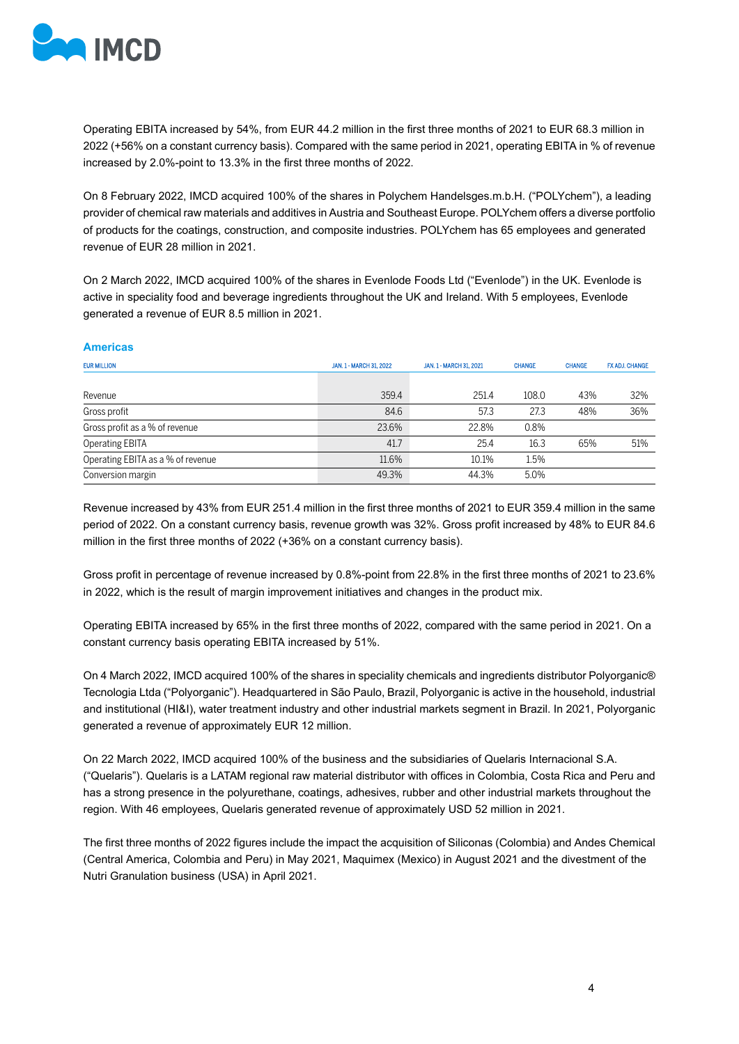

Operating EBITA increased by 54%, from EUR 44.2 million in the first three months of 2021 to EUR 68.3 million in 2022 (+56% on a constant currency basis). Compared with the same period in 2021, operating EBITA in % of revenue increased by 2.0%-point to 13.3% in the first three months of 2022.

On 8 February 2022, IMCD acquired 100% of the shares in Polychem Handelsges.m.b.H. ("POLYchem"), a leading provider of chemical raw materials and additives in Austria and Southeast Europe. POLYchem offers a diverse portfolio of products for the coatings, construction, and composite industries. POLYchem has 65 employees and generated revenue of EUR 28 million in 2021.

On 2 March 2022, IMCD acquired 100% of the shares in Evenlode Foods Ltd ("Evenlode") in the UK. Evenlode is active in speciality food and beverage ingredients throughout the UK and Ireland. With 5 employees, Evenlode generated a revenue of EUR 8.5 million in 2021.

#### **Americas**

| <b>EUR MILLION</b>                | JAN. 1 - MARCH 31, 2022 | JAN. 1 - MARCH 31, 2021 | <b>CHANGE</b> | <b>CHANGE</b> | FX ADJ, CHANGE |
|-----------------------------------|-------------------------|-------------------------|---------------|---------------|----------------|
| Revenue                           | 359.4                   | 251.4                   | 108.0         | 43%           | 32%            |
| Gross profit                      | 84.6                    | 57.3                    | 27.3          | 48%           | 36%            |
| Gross profit as a % of revenue    | 23.6%                   | 22.8%                   | 0.8%          |               |                |
| <b>Operating EBITA</b>            | 41.7                    | 25.4                    | 16.3          | 65%           | 51%            |
| Operating EBITA as a % of revenue | 11.6%                   | 10.1%                   | 1.5%          |               |                |
| Conversion margin                 | 49.3%                   | 44.3%                   | 5.0%          |               |                |

Revenue increased by 43% from EUR 251.4 million in the first three months of 2021 to EUR 359.4 million in the same period of 2022. On a constant currency basis, revenue growth was 32%. Gross profit increased by 48% to EUR 84.6 million in the first three months of 2022 (+36% on a constant currency basis).

Gross profit in percentage of revenue increased by 0.8%-point from 22.8% in the first three months of 2021 to 23.6% in 2022, which is the result of margin improvement initiatives and changes in the product mix.

Operating EBITA increased by 65% in the first three months of 2022, compared with the same period in 2021. On a constant currency basis operating EBITA increased by 51%.

On 4 March 2022, IMCD acquired 100% of the shares in speciality chemicals and ingredients distributor Polyorganic® Tecnologia Ltda ("Polyorganic"). Headquartered in São Paulo, Brazil, Polyorganic is active in the household, industrial and institutional (HI&I), water treatment industry and other industrial markets segment in Brazil. In 2021, Polyorganic generated a revenue of approximately EUR 12 million.

On 22 March 2022, IMCD acquired 100% of the business and the subsidiaries of Quelaris Internacional S.A. ("Quelaris"). Quelaris is a LATAM regional raw material distributor with offices in Colombia, Costa Rica and Peru and has a strong presence in the polyurethane, coatings, adhesives, rubber and other industrial markets throughout the region. With 46 employees, Quelaris generated revenue of approximately USD 52 million in 2021.

The first three months of 2022 figures include the impact the acquisition of Siliconas (Colombia) and Andes Chemical (Central America, Colombia and Peru) in May 2021, Maquimex (Mexico) in August 2021 and the divestment of the Nutri Granulation business (USA) in April 2021.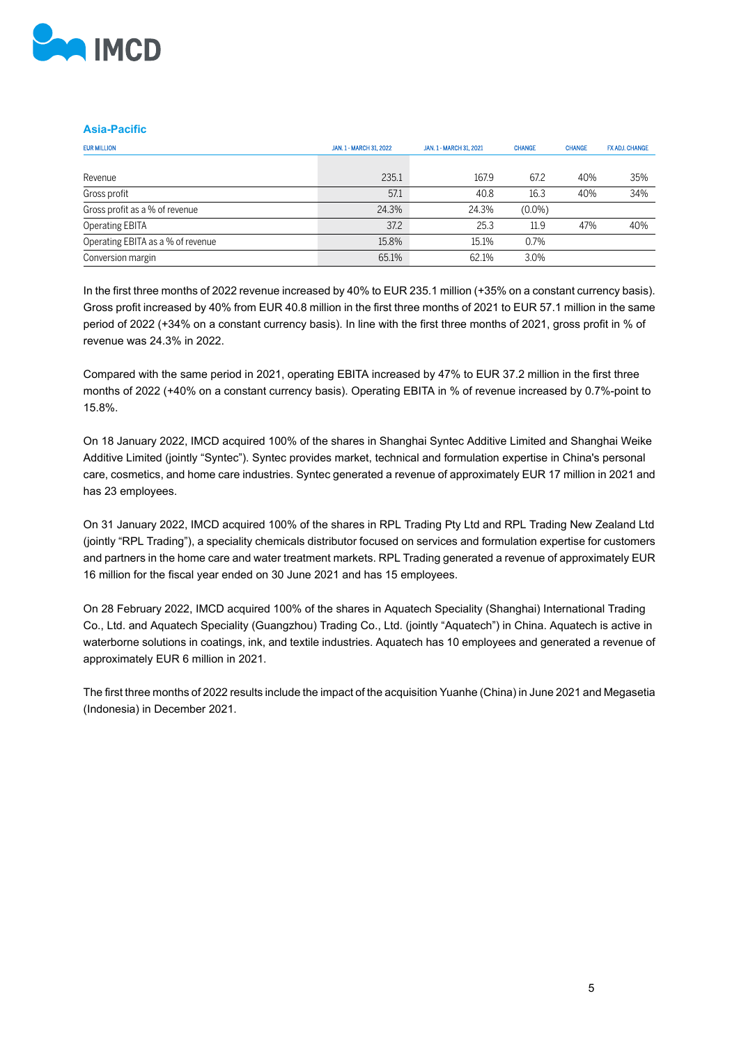

#### **Asia-Pacific**

| <b>EUR MILLION</b>                | JAN. 1 - MARCH 31, 2022 | JAN. 1 - MARCH 31, 2021 | <b>CHANGE</b> | <b>CHANGE</b> | FX ADJ, CHANGE |
|-----------------------------------|-------------------------|-------------------------|---------------|---------------|----------------|
|                                   |                         |                         |               |               |                |
| Revenue                           | 235.1                   | 167.9                   | 67.2          | 40%           | 35%            |
| Gross profit                      | 57.1                    | 40.8                    | 16.3          | 40%           | 34%            |
| Gross profit as a % of revenue    | 24.3%                   | 24.3%                   | $(0.0\%)$     |               |                |
| Operating EBITA                   | 37.2                    | 25.3                    | 11.9          | 47%           | 40%            |
| Operating EBITA as a % of revenue | 15.8%                   | 15.1%                   | 0.7%          |               |                |
| Conversion margin                 | 65.1%                   | 62.1%                   | 3.0%          |               |                |

In the first three months of 2022 revenue increased by 40% to EUR 235.1 million (+35% on a constant currency basis). Gross profit increased by 40% from EUR 40.8 million in the first three months of 2021 to EUR 57.1 million in the same period of 2022 (+34% on a constant currency basis). In line with the first three months of 2021, gross profit in % of revenue was 24.3% in 2022.

Compared with the same period in 2021, operating EBITA increased by 47% to EUR 37.2 million in the first three months of 2022 (+40% on a constant currency basis). Operating EBITA in % of revenue increased by 0.7%-point to 15.8%.

On 18 January 2022, IMCD acquired 100% of the shares in Shanghai Syntec Additive Limited and Shanghai Weike Additive Limited (jointly "Syntec"). Syntec provides market, technical and formulation expertise in China's personal care, cosmetics, and home care industries. Syntec generated a revenue of approximately EUR 17 million in 2021 and has 23 employees.

On 31 January 2022, IMCD acquired 100% of the shares in RPL Trading Pty Ltd and RPL Trading New Zealand Ltd (jointly "RPL Trading"), a speciality chemicals distributor focused on services and formulation expertise for customers and partners in the home care and water treatment markets. RPL Trading generated a revenue of approximately EUR 16 million for the fiscal year ended on 30 June 2021 and has 15 employees.

On 28 February 2022, IMCD acquired 100% of the shares in Aquatech Speciality (Shanghai) International Trading Co., Ltd. and Aquatech Speciality (Guangzhou) Trading Co., Ltd. (jointly "Aquatech") in China. Aquatech is active in waterborne solutions in coatings, ink, and textile industries. Aquatech has 10 employees and generated a revenue of approximately EUR 6 million in 2021.

The first three months of 2022 results include the impact of the acquisition Yuanhe (China) in June 2021 and Megasetia (Indonesia) in December 2021.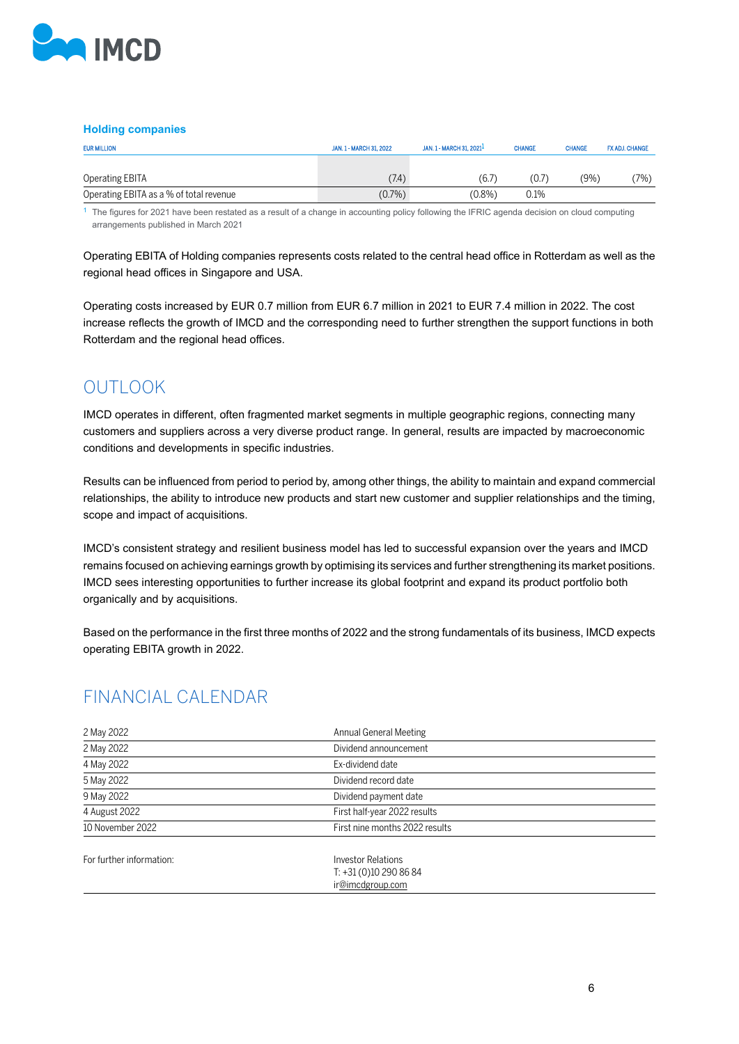

#### **Holding companies**

| <b>EUR MILLION</b>                      | JAN. 1 - MARCH 31, 2022 | JAN. 1 - MARCH 31, 2021 <sup>1</sup> | <b>CHANGE</b> | <b>CHANGE</b> | FX ADJ, CHANGE |
|-----------------------------------------|-------------------------|--------------------------------------|---------------|---------------|----------------|
| Operating EBITA                         | (7.4)                   | (6.7)                                | (0.7)         | (9%)          | $7\%$ )        |
| Operating EBITA as a % of total revenue | $(0.7\%)$               | $(0.8\%)$                            | 0.1%          |               |                |

<sup>1</sup> The figures for 2021 have been restated as a result of a change in accounting policy following the IFRIC agenda decision on cloud computing arrangements published in March 2021

Operating EBITA of Holding companies represents costs related to the central head office in Rotterdam as well as the regional head offices in Singapore and USA.

Operating costs increased by EUR 0.7 million from EUR 6.7 million in 2021 to EUR 7.4 million in 2022. The cost increase reflects the growth of IMCD and the corresponding need to further strengthen the support functions in both Rotterdam and the regional head offices.

## OUTLOOK

IMCD operates in different, often fragmented market segments in multiple geographic regions, connecting many customers and suppliers across a very diverse product range. In general, results are impacted by macroeconomic conditions and developments in specific industries.

Results can be influenced from period to period by, among other things, the ability to maintain and expand commercial relationships, the ability to introduce new products and start new customer and supplier relationships and the timing, scope and impact of acquisitions.

IMCD's consistent strategy and resilient business model has led to successful expansion over the years and IMCD remains focused on achieving earnings growth by optimising its services and further strengthening its market positions. IMCD sees interesting opportunities to further increase its global footprint and expand its product portfolio both organically and by acquisitions.

Based on the performance in the first three months of 2022 and the strong fundamentals of its business, IMCD expects operating EBITA growth in 2022.

## FINANCIAL CALENDAR

| 2 May 2022               | Annual General Meeting                                         |  |
|--------------------------|----------------------------------------------------------------|--|
| 2 May 2022               | Dividend announcement                                          |  |
| 4 May 2022               | Ex-dividend date                                               |  |
| 5 May 2022               | Dividend record date                                           |  |
| 9 May 2022               | Dividend payment date                                          |  |
| 4 August 2022            | First half-year 2022 results                                   |  |
| 10 November 2022         | First nine months 2022 results                                 |  |
| For further information: | Investor Relations<br>$T: +31(0)102908684$<br>ir@imcdgroup.com |  |